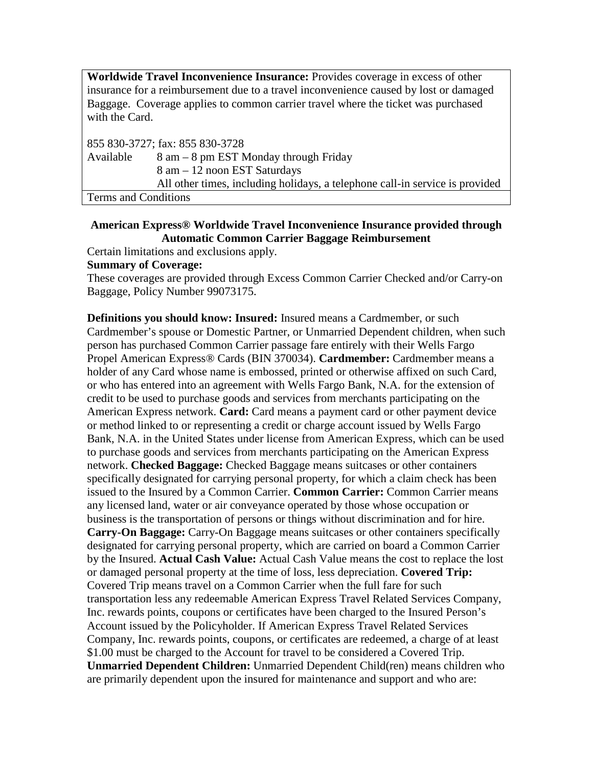**Worldwide Travel Inconvenience Insurance:** Provides coverage in excess of other insurance for a reimbursement due to a travel inconvenience caused by lost or damaged Baggage. Coverage applies to common carrier travel where the ticket was purchased with the Card.

855 830-3727; fax: 855 830-3728 Available  $8 \text{ am} - 8 \text{ pm EST Monday through Friday}$ 8 am – 12 noon EST Saturdays All other times, including holidays, a telephone call-in service is provided Terms and Conditions

## **American Express® Worldwide Travel Inconvenience Insurance provided through Automatic Common Carrier Baggage Reimbursement**

Certain limitations and exclusions apply.

## **Summary of Coverage:**

These coverages are provided through Excess Common Carrier Checked and/or Carry-on Baggage, Policy Number 99073175.

**Definitions you should know: Insured:** Insured means a Cardmember, or such Cardmember's spouse or Domestic Partner, or Unmarried Dependent children, when such person has purchased Common Carrier passage fare entirely with their Wells Fargo Propel American Express® Cards (BIN 370034). **Cardmember:** Cardmember means a holder of any Card whose name is embossed, printed or otherwise affixed on such Card, or who has entered into an agreement with Wells Fargo Bank, N.A. for the extension of credit to be used to purchase goods and services from merchants participating on the American Express network. **Card:** Card means a payment card or other payment device or method linked to or representing a credit or charge account issued by Wells Fargo Bank, N.A. in the United States under license from American Express, which can be used to purchase goods and services from merchants participating on the American Express network. **Checked Baggage:** Checked Baggage means suitcases or other containers specifically designated for carrying personal property, for which a claim check has been issued to the Insured by a Common Carrier. **Common Carrier:** Common Carrier means any licensed land, water or air conveyance operated by those whose occupation or business is the transportation of persons or things without discrimination and for hire. **Carry-On Baggage:** Carry-On Baggage means suitcases or other containers specifically designated for carrying personal property, which are carried on board a Common Carrier by the Insured. **Actual Cash Value:** Actual Cash Value means the cost to replace the lost or damaged personal property at the time of loss, less depreciation. **Covered Trip:** Covered Trip means travel on a Common Carrier when the full fare for such transportation less any redeemable American Express Travel Related Services Company, Inc. rewards points, coupons or certificates have been charged to the Insured Person's Account issued by the Policyholder. If American Express Travel Related Services Company, Inc. rewards points, coupons, or certificates are redeemed, a charge of at least \$1.00 must be charged to the Account for travel to be considered a Covered Trip. **Unmarried Dependent Children:** Unmarried Dependent Child(ren) means children who are primarily dependent upon the insured for maintenance and support and who are: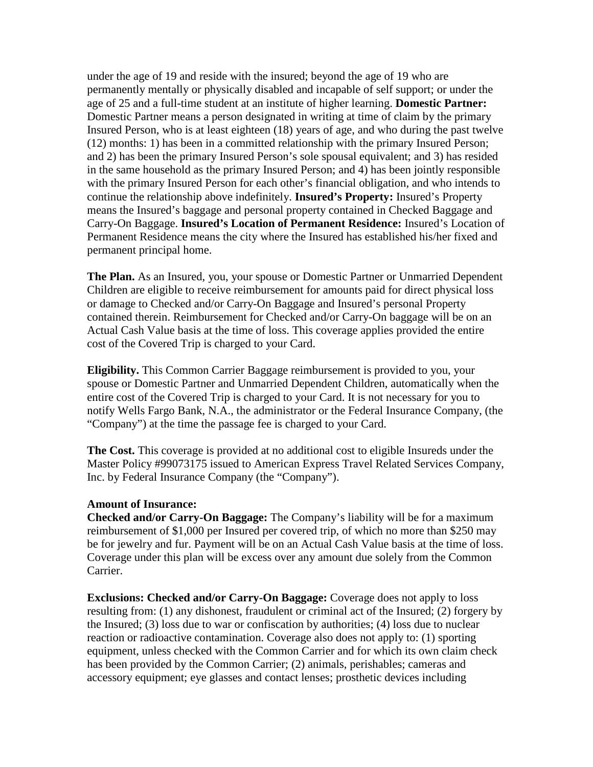under the age of 19 and reside with the insured; beyond the age of 19 who are permanently mentally or physically disabled and incapable of self support; or under the age of 25 and a full-time student at an institute of higher learning. **Domestic Partner:** Domestic Partner means a person designated in writing at time of claim by the primary Insured Person, who is at least eighteen (18) years of age, and who during the past twelve (12) months: 1) has been in a committed relationship with the primary Insured Person; and 2) has been the primary Insured Person's sole spousal equivalent; and 3) has resided in the same household as the primary Insured Person; and 4) has been jointly responsible with the primary Insured Person for each other's financial obligation, and who intends to continue the relationship above indefinitely. **Insured's Property:** Insured's Property means the Insured's baggage and personal property contained in Checked Baggage and Carry-On Baggage. **Insured's Location of Permanent Residence:** Insured's Location of Permanent Residence means the city where the Insured has established his/her fixed and permanent principal home.

**The Plan.** As an Insured, you, your spouse or Domestic Partner or Unmarried Dependent Children are eligible to receive reimbursement for amounts paid for direct physical loss or damage to Checked and/or Carry-On Baggage and Insured's personal Property contained therein. Reimbursement for Checked and/or Carry-On baggage will be on an Actual Cash Value basis at the time of loss. This coverage applies provided the entire cost of the Covered Trip is charged to your Card.

**Eligibility.** This Common Carrier Baggage reimbursement is provided to you, your spouse or Domestic Partner and Unmarried Dependent Children, automatically when the entire cost of the Covered Trip is charged to your Card. It is not necessary for you to notify Wells Fargo Bank, N.A., the administrator or the Federal Insurance Company, (the "Company") at the time the passage fee is charged to your Card.

**The Cost.** This coverage is provided at no additional cost to eligible Insureds under the Master Policy #99073175 issued to American Express Travel Related Services Company, Inc. by Federal Insurance Company (the "Company").

## **Amount of Insurance:**

**Checked and/or Carry-On Baggage:** The Company's liability will be for a maximum reimbursement of \$1,000 per Insured per covered trip, of which no more than \$250 may be for jewelry and fur. Payment will be on an Actual Cash Value basis at the time of loss. Coverage under this plan will be excess over any amount due solely from the Common Carrier.

**Exclusions: Checked and/or Carry-On Baggage:** Coverage does not apply to loss resulting from: (1) any dishonest, fraudulent or criminal act of the Insured; (2) forgery by the Insured; (3) loss due to war or confiscation by authorities; (4) loss due to nuclear reaction or radioactive contamination. Coverage also does not apply to: (1) sporting equipment, unless checked with the Common Carrier and for which its own claim check has been provided by the Common Carrier; (2) animals, perishables; cameras and accessory equipment; eye glasses and contact lenses; prosthetic devices including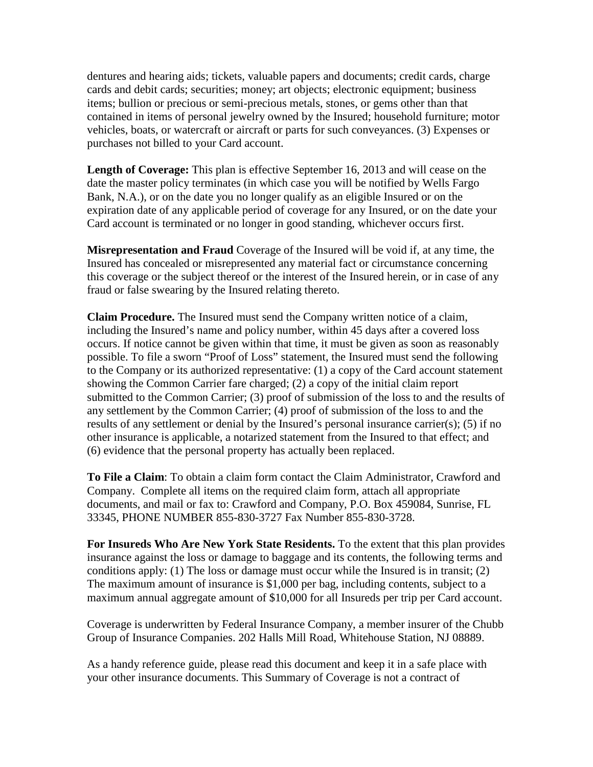dentures and hearing aids; tickets, valuable papers and documents; credit cards, charge cards and debit cards; securities; money; art objects; electronic equipment; business items; bullion or precious or semi-precious metals, stones, or gems other than that contained in items of personal jewelry owned by the Insured; household furniture; motor vehicles, boats, or watercraft or aircraft or parts for such conveyances. (3) Expenses or purchases not billed to your Card account.

**Length of Coverage:** This plan is effective September 16, 2013 and will cease on the date the master policy terminates (in which case you will be notified by Wells Fargo Bank, N.A.), or on the date you no longer qualify as an eligible Insured or on the expiration date of any applicable period of coverage for any Insured, or on the date your Card account is terminated or no longer in good standing, whichever occurs first.

**Misrepresentation and Fraud** Coverage of the Insured will be void if, at any time, the Insured has concealed or misrepresented any material fact or circumstance concerning this coverage or the subject thereof or the interest of the Insured herein, or in case of any fraud or false swearing by the Insured relating thereto.

**Claim Procedure.** The Insured must send the Company written notice of a claim, including the Insured's name and policy number, within 45 days after a covered loss occurs. If notice cannot be given within that time, it must be given as soon as reasonably possible. To file a sworn "Proof of Loss" statement, the Insured must send the following to the Company or its authorized representative: (1) a copy of the Card account statement showing the Common Carrier fare charged; (2) a copy of the initial claim report submitted to the Common Carrier; (3) proof of submission of the loss to and the results of any settlement by the Common Carrier; (4) proof of submission of the loss to and the results of any settlement or denial by the Insured's personal insurance carrier(s); (5) if no other insurance is applicable, a notarized statement from the Insured to that effect; and (6) evidence that the personal property has actually been replaced.

**To File a Claim**: To obtain a claim form contact the Claim Administrator, Crawford and Company. Complete all items on the required claim form, attach all appropriate documents, and mail or fax to: Crawford and Company, P.O. Box 459084, Sunrise, FL 33345, PHONE NUMBER 855-830-3727 Fax Number 855-830-3728.

**For Insureds Who Are New York State Residents.** To the extent that this plan provides insurance against the loss or damage to baggage and its contents, the following terms and conditions apply: (1) The loss or damage must occur while the Insured is in transit; (2) The maximum amount of insurance is \$1,000 per bag, including contents, subject to a maximum annual aggregate amount of \$10,000 for all Insureds per trip per Card account.

Coverage is underwritten by Federal Insurance Company, a member insurer of the Chubb Group of Insurance Companies. 202 Halls Mill Road, Whitehouse Station, NJ 08889.

As a handy reference guide, please read this document and keep it in a safe place with your other insurance documents. This Summary of Coverage is not a contract of